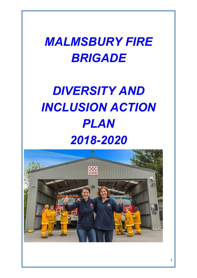## *MALMSBURY FIRE BRIGADE*

# *DIVERSITY AND INCLUSION ACTION PLAN 2018-2020*

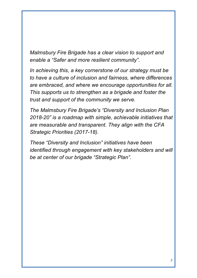*Malmsbury Fire Brigade has a clear vision to support and enable a "Safer and more resilient community".*

*In achieving this, a key cornerstone of our strategy must be to have a culture of inclusion and fairness, where differences are embraced, and where we encourage opportunities for all. This supports us to strengthen as a brigade and foster the trust and support of the community we serve.*

*The Malmsbury Fire Brigade's "Diversity and Inclusion Plan 2018-20" is a roadmap with simple, achievable initiatives that are measurable and transparent. They align with the CFA Strategic Priorities (2017-18).*

*These "Diversity and Inclusion" initiatives have been identified through engagement with key stakeholders and will be at center of our brigade "Strategic Plan".*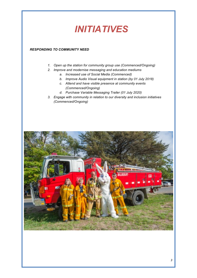### *INITIATIVES*

#### *RESPONDING TO COMMUNITY NEED*

- *1. Open up the station for community group use (Commenced/Ongoing)*
- *2. Improve and modernise messaging and education mediums*
	- *a. Increased use of Social Media (Commenced)*
	- *b. Improve Audio Visual equipment in station (by 01 July 2018)*
	- *c. Attend and have visible presence at community events (Commenced/Ongoing)*
	- *d. Purchase Variable Messaging Trailer (01 July 2020)*
- *3. Engage with community in relation to our diversity and inclusion initiatives (Commenced/Ongoing)*

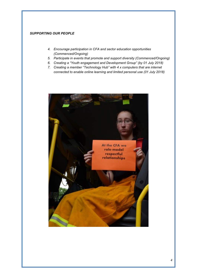#### *SUPPORTING OUR PEOPLE*

- *4. Encourage participation in CFA and sector education opportunities (Commenced/Ongoing)*
- *5. Participate in events that promote and support diversity (Commenced/Ongoing)*
- *6. Creating a "Youth engagement and Development Group" (by 01 July 2018)*
- *7. Creating a member "Technology Hub" with 4 x computers that are internet connected to enable online learning and limited personal use (01 July 2018)*

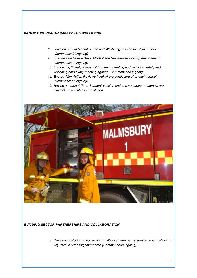#### *PROMOTING HEALTH SAFETY AND WELLBEING*

- *8. Have an annual Mental Health and Wellbeing session for all members (Commenced/Ongoing)*
- *9. Ensuring we have a Drug, Alcohol and Smoke-free working environment (Commenced/Ongoing)*
- *10. Introducing "Safety Moments" into each meeting and including safety and wellbeing onto every meeting agenda (Commenced/Ongoing)*
- *11. Ensure After Action Reviews (AAR's) are conducted after each turnout. (Commenced/Ongoing)*
- *12. Having an annual "Peer Support" session and ensure support materials are available and visible in the station*



#### *BUILDING SECTOR PARTNERSHIPS AND COLLABORATION*

*13. Develop local joint response plans with local emergency service organisations for key risks in our assignment area (Commenced/Ongoing)*